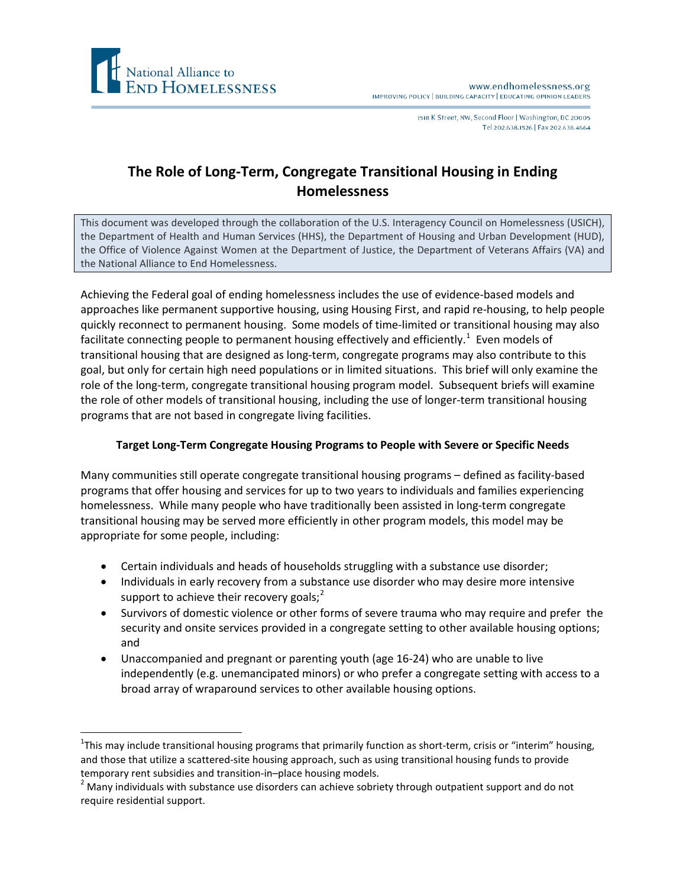

I518 K Street, NW, Second Floor | Washington, DC 20005 Tel 202.638.1526 | Fax 202.638.4664

## **The Role of Long-Term, Congregate Transitional Housing in Ending Homelessness**

This document was developed through the collaboration of the U.S. Interagency Council on Homelessness (USICH), the Department of Health and Human Services (HHS), the Department of Housing and Urban Development (HUD), the Office of Violence Against Women at the Department of Justice, the Department of Veterans Affairs (VA) and the National Alliance to End Homelessness.

Achieving the Federal goal of ending homelessness includes the use of evidence-based models and approaches like permanent supportive housing, using Housing First, and rapid re-housing, to help people quickly reconnect to permanent housing. Some models of time-limited or transitional housing may also facilitate connecting people to permanent housing effectively and efficiently.<sup>[1](#page-0-0)</sup> Even models of transitional housing that are designed as long-term, congregate programs may also contribute to this goal, but only for certain high need populations or in limited situations. This brief will only examine the role of the long-term, congregate transitional housing program model. Subsequent briefs will examine the role of other models of transitional housing, including the use of longer-term transitional housing programs that are not based in congregate living facilities.

## **Target Long-Term Congregate Housing Programs to People with Severe or Specific Needs**

Many communities still operate congregate transitional housing programs – defined as facility-based programs that offer housing and services for up to two years to individuals and families experiencing homelessness. While many people who have traditionally been assisted in long-term congregate transitional housing may be served more efficiently in other program models, this model may be appropriate for some people, including:

- Certain individuals and heads of households struggling with a substance use disorder;
- Individuals in early recovery from a substance use disorder who may desire more intensive support to achieve their recovery goals; $<sup>2</sup>$  $<sup>2</sup>$  $<sup>2</sup>$ </sup>
- Survivors of domestic violence or other forms of severe trauma who may require and prefer the security and onsite services provided in a congregate setting to other available housing options; and
- Unaccompanied and pregnant or parenting youth (age 16-24) who are unable to live independently (e.g. unemancipated minors) or who prefer a congregate setting with access to a broad array of wraparound services to other available housing options.

<span id="page-0-0"></span> $\frac{1}{1}$  $1$ This may include transitional housing programs that primarily function as short-term, crisis or "interim" housing, and those that utilize a scattered-site housing approach, such as using transitional housing funds to provide temporary rent subsidies and transition-in–place housing models.<br><sup>2</sup> Many individuals with substance use disorders can achieve sobriety through outpatient support and do not

<span id="page-0-1"></span>require residential support.